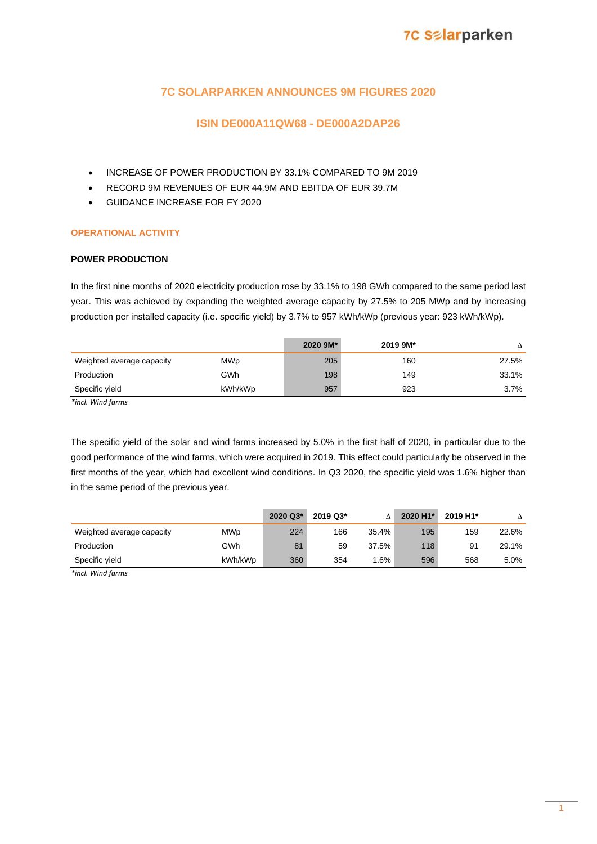# **7C Salarparken**

## **7C SOLARPARKEN ANNOUNCES 9M FIGURES 2020**

### **ISIN DE000A11QW68 - DE000A2DAP26**

- INCREASE OF POWER PRODUCTION BY 33.1% COMPARED TO 9M 2019
- RECORD 9M REVENUES OF EUR 44.9M AND EBITDA OF EUR 39.7M
- GUIDANCE INCREASE FOR FY 2020

### **OPERATIONAL ACTIVITY**

### **POWER PRODUCTION**

In the first nine months of 2020 electricity production rose by 33.1% to 198 GWh compared to the same period last year. This was achieved by expanding the weighted average capacity by 27.5% to 205 MWp and by increasing production per installed capacity (i.e. specific yield) by 3.7% to 957 kWh/kWp (previous year: 923 kWh/kWp).

|                           |            | 2020 9M* | 2019 9M* |       |
|---------------------------|------------|----------|----------|-------|
| Weighted average capacity | <b>MWp</b> | 205      | 160      | 27.5% |
| Production                | GWh        | 198      | 149      | 33.1% |
| Specific yield            | kWh/kWp    | 957      | 923      | 3.7%  |

*\*incl. Wind farms*

The specific yield of the solar and wind farms increased by 5.0% in the first half of 2020, in particular due to the good performance of the wind farms, which were acquired in 2019. This effect could particularly be observed in the first months of the year, which had excellent wind conditions. In Q3 2020, the specific yield was 1.6% higher than in the same period of the previous year.

|                           |            | 2020 Q3* | 2019 Q3* |       | 2020 H1* | 2019 H1* |       |
|---------------------------|------------|----------|----------|-------|----------|----------|-------|
| Weighted average capacity | <b>MWp</b> | 224      | 166      | 35.4% | 195      | 159      | 22.6% |
| Production                | GWh        | 81       | 59       | 37.5% | 118      | 91       | 29.1% |
| Specific vield            | kWh/kWp    | 360      | 354      | .6%   | 596      | 568      | 5.0%  |

*\*incl. Wind farms*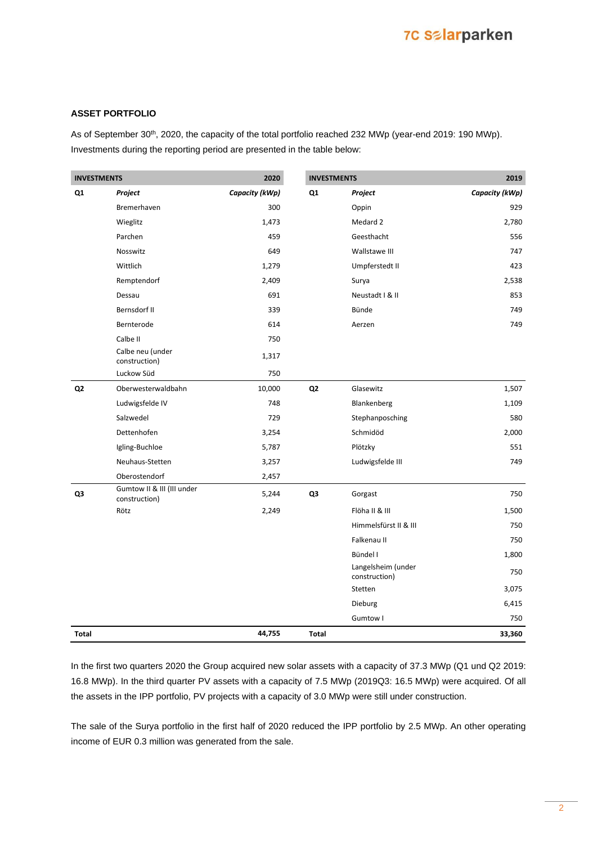## **7C Salarparken**

#### **ASSET PORTFOLIO**

As of September 30<sup>th</sup>, 2020, the capacity of the total portfolio reached 232 MWp (year-end 2019: 190 MWp). Investments during the reporting period are presented in the table below:

| <b>INVESTMENTS</b> |                                             | 2020           | <b>INVESTMENTS</b> |                                     | 2019           |
|--------------------|---------------------------------------------|----------------|--------------------|-------------------------------------|----------------|
| Q1                 | Project                                     | Capacity (kWp) | Q <sub>1</sub>     | Project                             | Capacity (kWp) |
|                    | Bremerhaven                                 | 300            |                    | Oppin                               | 929            |
|                    | Wieglitz                                    | 1,473          |                    | Medard 2                            | 2,780          |
|                    | Parchen                                     | 459            |                    | Geesthacht                          | 556            |
|                    | Nosswitz                                    | 649            |                    | Wallstawe III                       | 747            |
|                    | Wittlich                                    | 1,279          |                    | Umpferstedt II                      | 423            |
|                    | Remptendorf                                 | 2,409          |                    | Surya                               | 2,538          |
|                    | Dessau                                      | 691            |                    | Neustadt I & II                     | 853            |
|                    | Bernsdorf II                                | 339            |                    | Bünde                               | 749            |
|                    | Bernterode                                  | 614            |                    | Aerzen                              | 749            |
|                    | Calbe II                                    | 750            |                    |                                     |                |
|                    | Calbe neu (under<br>construction)           | 1,317          |                    |                                     |                |
|                    | Luckow Süd                                  | 750            |                    |                                     |                |
| Q <sub>2</sub>     | Oberwesterwaldbahn                          | 10,000         | Q <sub>2</sub>     | Glasewitz                           | 1,507          |
|                    | Ludwigsfelde IV                             | 748            |                    | Blankenberg                         | 1,109          |
|                    | Salzwedel                                   | 729            |                    | Stephanposching                     | 580            |
|                    | Dettenhofen                                 | 3,254          |                    | Schmidöd                            | 2,000          |
|                    | Igling-Buchloe                              | 5,787          |                    | Plötzky                             | 551            |
|                    | Neuhaus-Stetten                             | 3,257          |                    | Ludwigsfelde III                    | 749            |
|                    | Oberostendorf                               | 2,457          |                    |                                     |                |
| Q3                 | Gumtow II & III (III under<br>construction) | 5,244          | Q3                 | Gorgast                             | 750            |
|                    | Rötz                                        | 2,249          |                    | Flöha II & III                      | 1,500          |
|                    |                                             |                |                    | Himmelsfürst II & III               | 750            |
|                    |                                             |                |                    | Falkenau II                         | 750            |
|                    |                                             |                |                    | Bündel I                            | 1,800          |
|                    |                                             |                |                    | Langelsheim (under<br>construction) | 750            |
|                    |                                             |                |                    | Stetten                             | 3,075          |
|                    |                                             |                |                    | Dieburg                             | 6,415          |
|                    |                                             |                |                    | Gumtow I                            | 750            |
| <b>Total</b>       |                                             | 44,755         | <b>Total</b>       |                                     | 33,360         |

In the first two quarters 2020 the Group acquired new solar assets with a capacity of 37.3 MWp (Q1 und Q2 2019: 16.8 MWp). In the third quarter PV assets with a capacity of 7.5 MWp (2019Q3: 16.5 MWp) were acquired. Of all the assets in the IPP portfolio, PV projects with a capacity of 3.0 MWp were still under construction.

The sale of the Surya portfolio in the first half of 2020 reduced the IPP portfolio by 2.5 MWp. An other operating income of EUR 0.3 million was generated from the sale.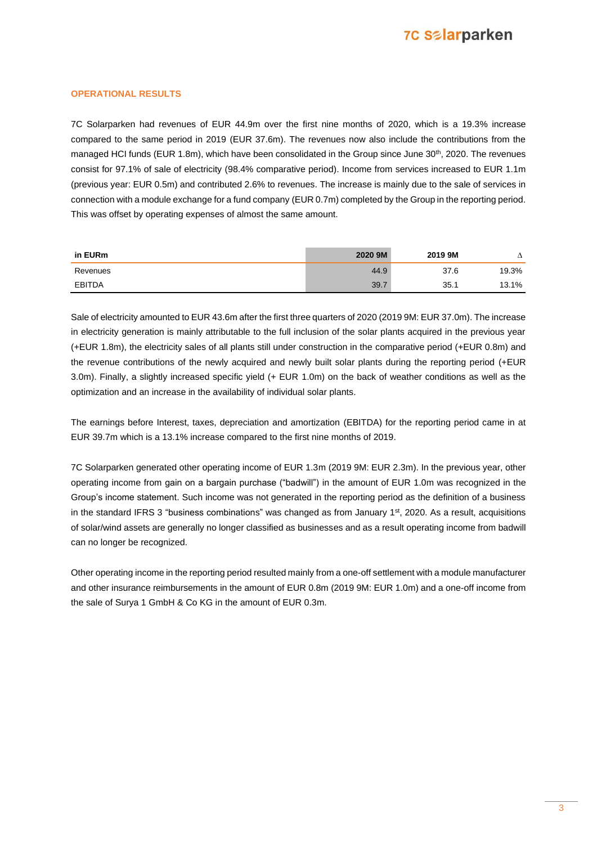#### **OPERATIONAL RESULTS**

7C Solarparken had revenues of EUR 44.9m over the first nine months of 2020, which is a 19.3% increase compared to the same period in 2019 (EUR 37.6m). The revenues now also include the contributions from the managed HCI funds (EUR 1.8m), which have been consolidated in the Group since June 30<sup>th</sup>, 2020. The revenues consist for 97.1% of sale of electricity (98.4% comparative period). Income from services increased to EUR 1.1m (previous year: EUR 0.5m) and contributed 2.6% to revenues. The increase is mainly due to the sale of services in connection with a module exchange for a fund company (EUR 0.7m) completed by the Group in the reporting period. This was offset by operating expenses of almost the same amount.

| in EURm       | 2020 9M | 2019 9M |       |
|---------------|---------|---------|-------|
| Revenues      | 44.9    | 37.6    | 19.3% |
| <b>EBITDA</b> | 39.     | 35.1    | 13.1% |

Sale of electricity amounted to EUR 43.6m after the first three quarters of 2020 (2019 9M: EUR 37.0m). The increase in electricity generation is mainly attributable to the full inclusion of the solar plants acquired in the previous year (+EUR 1.8m), the electricity sales of all plants still under construction in the comparative period (+EUR 0.8m) and the revenue contributions of the newly acquired and newly built solar plants during the reporting period (+EUR 3.0m). Finally, a slightly increased specific yield (+ EUR 1.0m) on the back of weather conditions as well as the optimization and an increase in the availability of individual solar plants.

The earnings before Interest, taxes, depreciation and amortization (EBITDA) for the reporting period came in at EUR 39.7m which is a 13.1% increase compared to the first nine months of 2019.

7C Solarparken generated other operating income of EUR 1.3m (2019 9M: EUR 2.3m). In the previous year, other operating income from gain on a bargain purchase ("badwill") in the amount of EUR 1.0m was recognized in the Group's income statement. Such income was not generated in the reporting period as the definition of a business in the standard IFRS 3 "business combinations" was changed as from January 1<sup>st</sup>, 2020. As a result, acquisitions of solar/wind assets are generally no longer classified as businesses and as a result operating income from badwill can no longer be recognized.

Other operating income in the reporting period resulted mainly from a one-off settlement with a module manufacturer and other insurance reimbursements in the amount of EUR 0.8m (2019 9M: EUR 1.0m) and a one-off income from the sale of Surya 1 GmbH & Co KG in the amount of EUR 0.3m.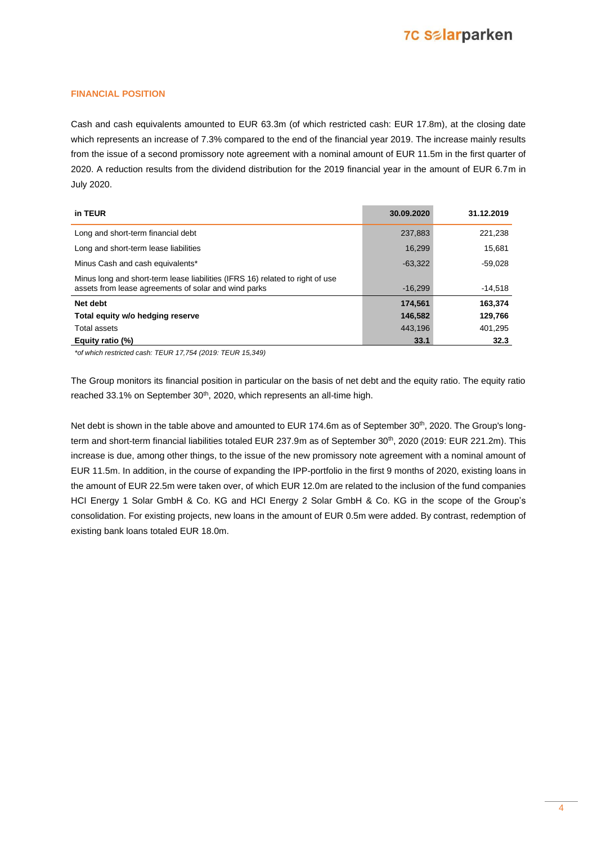#### **FINANCIAL POSITION**

Cash and cash equivalents amounted to EUR 63.3m (of which restricted cash: EUR 17.8m), at the closing date which represents an increase of 7.3% compared to the end of the financial year 2019. The increase mainly results from the issue of a second promissory note agreement with a nominal amount of EUR 11.5m in the first quarter of 2020. A reduction results from the dividend distribution for the 2019 financial year in the amount of EUR 6.7m in July 2020.

| in TEUR                                                                                                                               | 30.09.2020 | 31.12.2019 |
|---------------------------------------------------------------------------------------------------------------------------------------|------------|------------|
| Long and short-term financial debt                                                                                                    | 237,883    | 221,238    |
| Long and short-term lease liabilities                                                                                                 | 16.299     | 15,681     |
| Minus Cash and cash equivalents*                                                                                                      | $-63.322$  | -59.028    |
| Minus long and short-term lease liabilities (IFRS 16) related to right of use<br>assets from lease agreements of solar and wind parks | $-16.299$  | $-14,518$  |
| Net debt                                                                                                                              | 174,561    | 163,374    |
| Total equity w/o hedging reserve                                                                                                      | 146.582    | 129,766    |
| Total assets                                                                                                                          | 443.196    | 401,295    |
| Equity ratio (%)                                                                                                                      | 33.1       | 32.3       |

*\*of which restricted cash: TEUR 17,754 (2019: TEUR 15,349)* 

The Group monitors its financial position in particular on the basis of net debt and the equity ratio. The equity ratio reached 33.1% on September 30<sup>th</sup>, 2020, which represents an all-time high.

Net debt is shown in the table above and amounted to EUR 174.6m as of September 30<sup>th</sup>, 2020. The Group's longterm and short-term financial liabilities totaled EUR 237.9m as of September 30<sup>th</sup>, 2020 (2019: EUR 221.2m). This increase is due, among other things, to the issue of the new promissory note agreement with a nominal amount of EUR 11.5m. In addition, in the course of expanding the IPP-portfolio in the first 9 months of 2020, existing loans in the amount of EUR 22.5m were taken over, of which EUR 12.0m are related to the inclusion of the fund companies HCI Energy 1 Solar GmbH & Co. KG and HCI Energy 2 Solar GmbH & Co. KG in the scope of the Group's consolidation. For existing projects, new loans in the amount of EUR 0.5m were added. By contrast, redemption of existing bank loans totaled EUR 18.0m.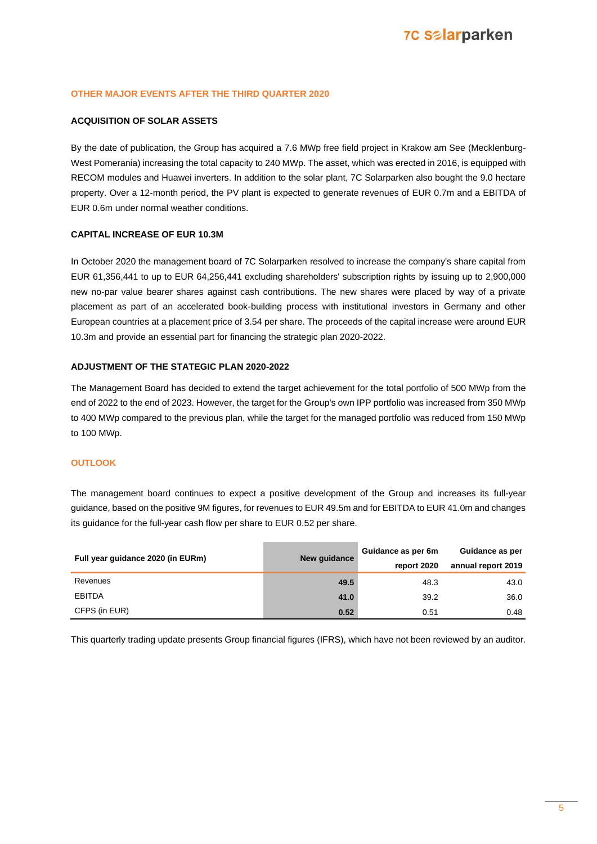#### **OTHER MAJOR EVENTS AFTER THE THIRD QUARTER 2020**

#### **ACQUISITION OF SOLAR ASSETS**

By the date of publication, the Group has acquired a 7.6 MWp free field project in Krakow am See (Mecklenburg-West Pomerania) increasing the total capacity to 240 MWp. The asset, which was erected in 2016, is equipped with RECOM modules and Huawei inverters. In addition to the solar plant, 7C Solarparken also bought the 9.0 hectare property. Over a 12-month period, the PV plant is expected to generate revenues of EUR 0.7m and a EBITDA of EUR 0.6m under normal weather conditions.

#### **CAPITAL INCREASE OF EUR 10.3M**

In October 2020 the management board of 7C Solarparken resolved to increase the company's share capital from EUR 61,356,441 to up to EUR 64,256,441 excluding shareholders' subscription rights by issuing up to 2,900,000 new no-par value bearer shares against cash contributions. The new shares were placed by way of a private placement as part of an accelerated book-building process with institutional investors in Germany and other European countries at a placement price of 3.54 per share. The proceeds of the capital increase were around EUR 10.3m and provide an essential part for financing the strategic plan 2020-2022.

#### **ADJUSTMENT OF THE STATEGIC PLAN 2020-2022**

The Management Board has decided to extend the target achievement for the total portfolio of 500 MWp from the end of 2022 to the end of 2023. However, the target for the Group's own IPP portfolio was increased from 350 MWp to 400 MWp compared to the previous plan, while the target for the managed portfolio was reduced from 150 MWp to 100 MWp.

#### **OUTLOOK**

The management board continues to expect a positive development of the Group and increases its full-year guidance, based on the positive 9M figures, for revenues to EUR 49.5m and for EBITDA to EUR 41.0m and changes its guidance for the full-year cash flow per share to EUR 0.52 per share.

| Full year guidance 2020 (in EURm) | New quidance | Guidance as per 6m | Guidance as per    |  |
|-----------------------------------|--------------|--------------------|--------------------|--|
|                                   |              | report 2020        | annual report 2019 |  |
| Revenues                          | 49.5         | 48.3               | 43.0               |  |
| <b>EBITDA</b>                     | 41.0         | 39.2               | 36.0               |  |
| CFPS (in EUR)                     | 0.52         | 0.51               | 0.48               |  |

This quarterly trading update presents Group financial figures (IFRS), which have not been reviewed by an auditor.